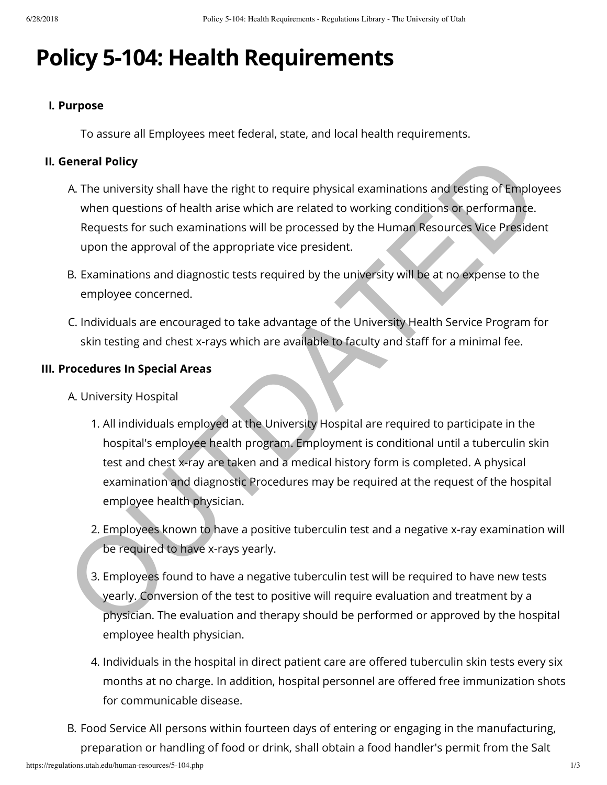# **Policy 5-104: Health Requirements**

## **I. Purpose**

To assure all Employees meet federal, state, and local health requirements.

# **II. General Policy**

- A. The university shall have the right to require physical examinations and testing of Employees when questions of health arise which are related to working conditions or performance. Requests for such examinations will be processed by the Human Resources Vice President upon the approval of the appropriate vice president.
- B. Examinations and diagnostic tests required by the university will be at no expense to the employee concerned.
- C. Individuals are encouraged to take advantage of the University Health Service Program for skin testing and chest x-rays which are available to faculty and staff for a minimal fee.

### **III. Procedures In Special Areas**

- A. University Hospital
- 1. All individuals employed at the University Hospital are required to participate in the hospital's employee health program. Employment is conditional until a tuberculin skin test and chest x-ray are taken and a medical history form is completed. A physical examination and diagnostic Procedures may be required at the request of the hospital employee health physician. Sine and Delicy<br>
A The university shall have the right to require physical examinations and testing of Employ<br>
when questions of health arise which are related to working conditions or performance.<br>
Requests for such exami
	- 2. Employees known to have a positive tuberculin test and a negative x-ray examination will be required to have x-rays yearly.
	- 3. Employees found to have a negative tuberculin test will be required to have new tests yearly. Conversion of the test to positive will require evaluation and treatment by a physician. The evaluation and therapy should be performed or approved by the hospital employee health physician.
	- 4. Individuals in the hospital in direct patient care are offered tuberculin skin tests every six months at no charge. In addition, hospital personnel are offered free immunization shots for communicable disease.
- B. Food Service All persons within fourteen days of entering or engaging in the manufacturing, preparation or handling of food or drink, shall obtain a food handler's permit from the Salt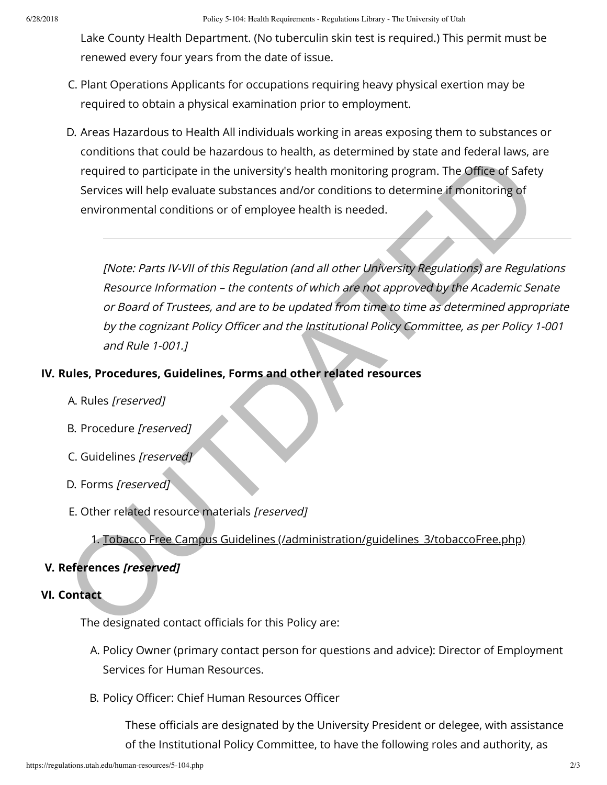Lake County Health Department. (No tuberculin skin test is required.) This permit must be renewed every four years from the date of issue.

- C. Plant Operations Applicants for occupations requiring heavy physical exertion may be required to obtain a physical examination prior to employment.
- D. Areas Hazardous to Health All individuals working in areas exposing them to substances or conditions that could be hazardous to health, as determined by state and federal laws, are required to participate in the university's health monitoring program. The Office of Safety Services will help evaluate substances and/or conditions to determine if monitoring of environmental conditions or of employee health is needed.

[Note: Parts IV-VII of this Regulation (and all other University Regulations) are Regulations Resource Information – the contents of which are not approved by the Academic Senate or Board of Trustees, and are to be updated from time to time as determined appropriate by the cognizant Policy Officer and the Institutional Policy Committee, as per Policy 1-001 and Rule 1-001.] columbio si activisme the insteading solutions of interactions of the distributions in the difference in interactions of employee health is needed.<br>
Ferrices will help evaluate substances and/or conditions to determine if

# **IV. Rules, Procedures, Guidelines, Forms and other related resources**

- A. Rules [reserved]
- B. Procedure [reserved]
- C. Guidelines [reserved]
- D. Forms [reserved]
- E. Other related resource materials [reserved]

1. Tobacco Free Campus Guidelines (/administration/guidelines 3/tobaccoFree.php)

### **V. References [reserved]**

#### **VI. Contact**

The designated contact officials for this Policy are:

- A. Policy Owner (primary contact person for questions and advice): Director of Employment Services for Human Resources.
- B. Policy Officer: Chief Human Resources Officer

These officials are designated by the University President or delegee, with assistance of the Institutional Policy Committee, to have the following roles and authority, as